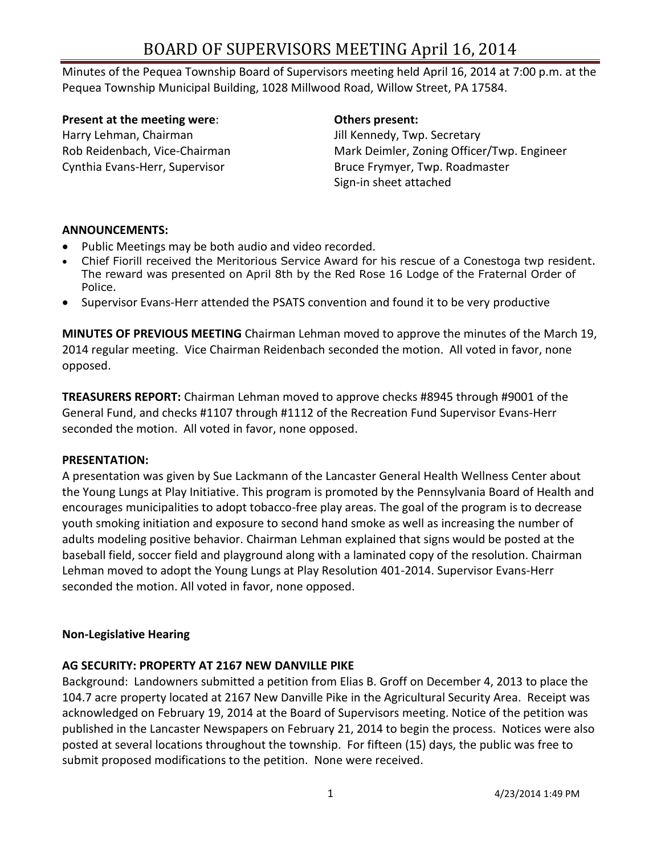# BOARD OF SUPERVISORS MEETING April 16, 2014

Minutes of the Pequea Township Board of Supervisors meeting held April 16, 2014 at 7:00 p.m. at the Pequea Township Municipal Building, 1028 Millwood Road, Willow Street, PA 17584.

#### **Present at the meeting were**: **Others present:**

Harry Lehman, Chairman **Jill Kennedy, Twp. Secretary** 

Rob Reidenbach, Vice-Chairman Mark Deimler, Zoning Officer/Twp. Engineer Cynthia Evans-Herr, Supervisor **Bruce Frymter, Twp. Roadmaster** Sign-in sheet attached

## **ANNOUNCEMENTS:**

- Public Meetings may be both audio and video recorded.
- Chief Fiorill received the Meritorious Service Award for his rescue of a Conestoga twp resident. The reward was presented on April 8th by the Red Rose 16 Lodge of the Fraternal Order of Police.
- Supervisor Evans-Herr attended the PSATS convention and found it to be very productive

**MINUTES OF PREVIOUS MEETING** Chairman Lehman moved to approve the minutes of the March 19, 2014 regular meeting. Vice Chairman Reidenbach seconded the motion. All voted in favor, none opposed.

**TREASURERS REPORT:** Chairman Lehman moved to approve checks #8945 through #9001 of the General Fund, and checks #1107 through #1112 of the Recreation Fund Supervisor Evans-Herr seconded the motion. All voted in favor, none opposed.

## **PRESENTATION:**

A presentation was given by Sue Lackmann of the Lancaster General Health Wellness Center about the Young Lungs at Play Initiative. This program is promoted by the Pennsylvania Board of Health and encourages municipalities to adopt tobacco-free play areas. The goal of the program is to decrease youth smoking initiation and exposure to second hand smoke as well as increasing the number of adults modeling positive behavior. Chairman Lehman explained that signs would be posted at the baseball field, soccer field and playground along with a laminated copy of the resolution. Chairman Lehman moved to adopt the Young Lungs at Play Resolution 401-2014. Supervisor Evans-Herr seconded the motion. All voted in favor, none opposed.

## **Non-Legislative Hearing**

## **AG SECURITY: PROPERTY AT 2167 NEW DANVILLE PIKE**

Background: Landowners submitted a petition from Elias B. Groff on December 4, 2013 to place the 104.7 acre property located at 2167 New Danville Pike in the Agricultural Security Area. Receipt was acknowledged on February 19, 2014 at the Board of Supervisors meeting. Notice of the petition was published in the Lancaster Newspapers on February 21, 2014 to begin the process. Notices were also posted at several locations throughout the township. For fifteen (15) days, the public was free to submit proposed modifications to the petition. None were received.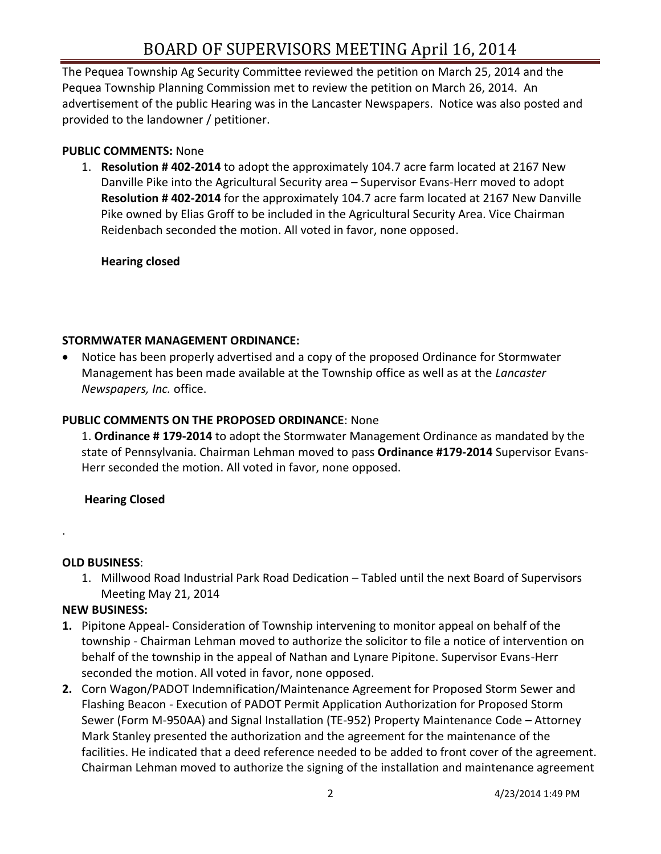# BOARD OF SUPERVISORS MEETING April 16, 2014

The Pequea Township Ag Security Committee reviewed the petition on March 25, 2014 and the Pequea Township Planning Commission met to review the petition on March 26, 2014. An advertisement of the public Hearing was in the Lancaster Newspapers. Notice was also posted and provided to the landowner / petitioner.

#### **PUBLIC COMMENTS:** None

1. **Resolution # 402-2014** to adopt the approximately 104.7 acre farm located at 2167 New Danville Pike into the Agricultural Security area – Supervisor Evans-Herr moved to adopt **Resolution # 402-2014** for the approximately 104.7 acre farm located at 2167 New Danville Pike owned by Elias Groff to be included in the Agricultural Security Area. Vice Chairman Reidenbach seconded the motion. All voted in favor, none opposed.

#### **Hearing closed**

## **STORMWATER MANAGEMENT ORDINANCE:**

 Notice has been properly advertised and a copy of the proposed Ordinance for Stormwater Management has been made available at the Township office as well as at the *Lancaster Newspapers, Inc.* office.

#### **PUBLIC COMMENTS ON THE PROPOSED ORDINANCE**: None

1. **Ordinance # 179-2014** to adopt the Stormwater Management Ordinance as mandated by the state of Pennsylvania. Chairman Lehman moved to pass **Ordinance #179-2014** Supervisor Evans-Herr seconded the motion. All voted in favor, none opposed.

#### **Hearing Closed**

#### **OLD BUSINESS**:

.

1. Millwood Road Industrial Park Road Dedication – Tabled until the next Board of Supervisors Meeting May 21, 2014

#### **NEW BUSINESS:**

- **1.** Pipitone Appeal- Consideration of Township intervening to monitor appeal on behalf of the township - Chairman Lehman moved to authorize the solicitor to file a notice of intervention on behalf of the township in the appeal of Nathan and Lynare Pipitone. Supervisor Evans-Herr seconded the motion. All voted in favor, none opposed.
- **2.** Corn Wagon/PADOT Indemnification/Maintenance Agreement for Proposed Storm Sewer and Flashing Beacon - Execution of PADOT Permit Application Authorization for Proposed Storm Sewer (Form M-950AA) and Signal Installation (TE-952) Property Maintenance Code – Attorney Mark Stanley presented the authorization and the agreement for the maintenance of the facilities. He indicated that a deed reference needed to be added to front cover of the agreement. Chairman Lehman moved to authorize the signing of the installation and maintenance agreement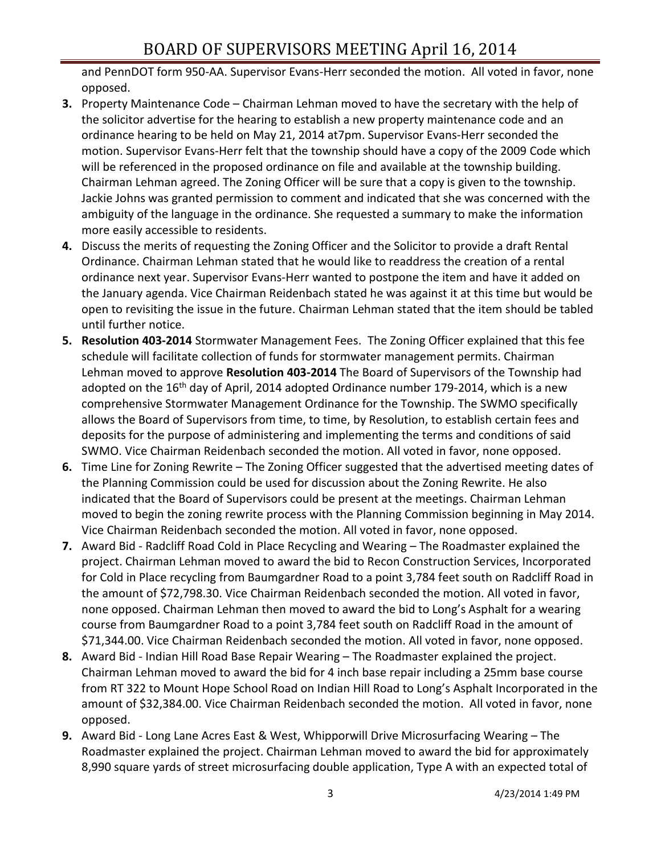and PennDOT form 950-AA. Supervisor Evans-Herr seconded the motion. All voted in favor, none opposed.

- **3.** Property Maintenance Code Chairman Lehman moved to have the secretary with the help of the solicitor advertise for the hearing to establish a new property maintenance code and an ordinance hearing to be held on May 21, 2014 at7pm. Supervisor Evans-Herr seconded the motion. Supervisor Evans-Herr felt that the township should have a copy of the 2009 Code which will be referenced in the proposed ordinance on file and available at the township building. Chairman Lehman agreed. The Zoning Officer will be sure that a copy is given to the township. Jackie Johns was granted permission to comment and indicated that she was concerned with the ambiguity of the language in the ordinance. She requested a summary to make the information more easily accessible to residents.
- **4.** Discuss the merits of requesting the Zoning Officer and the Solicitor to provide a draft Rental Ordinance. Chairman Lehman stated that he would like to readdress the creation of a rental ordinance next year. Supervisor Evans-Herr wanted to postpone the item and have it added on the January agenda. Vice Chairman Reidenbach stated he was against it at this time but would be open to revisiting the issue in the future. Chairman Lehman stated that the item should be tabled until further notice.
- **5. Resolution 403-2014** Stormwater Management Fees. The Zoning Officer explained that this fee schedule will facilitate collection of funds for stormwater management permits. Chairman Lehman moved to approve **Resolution 403-2014** The Board of Supervisors of the Township had adopted on the  $16<sup>th</sup>$  day of April, 2014 adopted Ordinance number 179-2014, which is a new comprehensive Stormwater Management Ordinance for the Township. The SWMO specifically allows the Board of Supervisors from time, to time, by Resolution, to establish certain fees and deposits for the purpose of administering and implementing the terms and conditions of said SWMO. Vice Chairman Reidenbach seconded the motion. All voted in favor, none opposed.
- **6.** Time Line for Zoning Rewrite The Zoning Officer suggested that the advertised meeting dates of the Planning Commission could be used for discussion about the Zoning Rewrite. He also indicated that the Board of Supervisors could be present at the meetings. Chairman Lehman moved to begin the zoning rewrite process with the Planning Commission beginning in May 2014. Vice Chairman Reidenbach seconded the motion. All voted in favor, none opposed.
- **7.** Award Bid Radcliff Road Cold in Place Recycling and Wearing The Roadmaster explained the project. Chairman Lehman moved to award the bid to Recon Construction Services, Incorporated for Cold in Place recycling from Baumgardner Road to a point 3,784 feet south on Radcliff Road in the amount of \$72,798.30. Vice Chairman Reidenbach seconded the motion. All voted in favor, none opposed. Chairman Lehman then moved to award the bid to Long's Asphalt for a wearing course from Baumgardner Road to a point 3,784 feet south on Radcliff Road in the amount of \$71,344.00. Vice Chairman Reidenbach seconded the motion. All voted in favor, none opposed.
- **8.** Award Bid Indian Hill Road Base Repair Wearing The Roadmaster explained the project. Chairman Lehman moved to award the bid for 4 inch base repair including a 25mm base course from RT 322 to Mount Hope School Road on Indian Hill Road to Long's Asphalt Incorporated in the amount of \$32,384.00. Vice Chairman Reidenbach seconded the motion. All voted in favor, none opposed.
- **9.** Award Bid Long Lane Acres East & West, Whipporwill Drive Microsurfacing Wearing The Roadmaster explained the project. Chairman Lehman moved to award the bid for approximately 8,990 square yards of street microsurfacing double application, Type A with an expected total of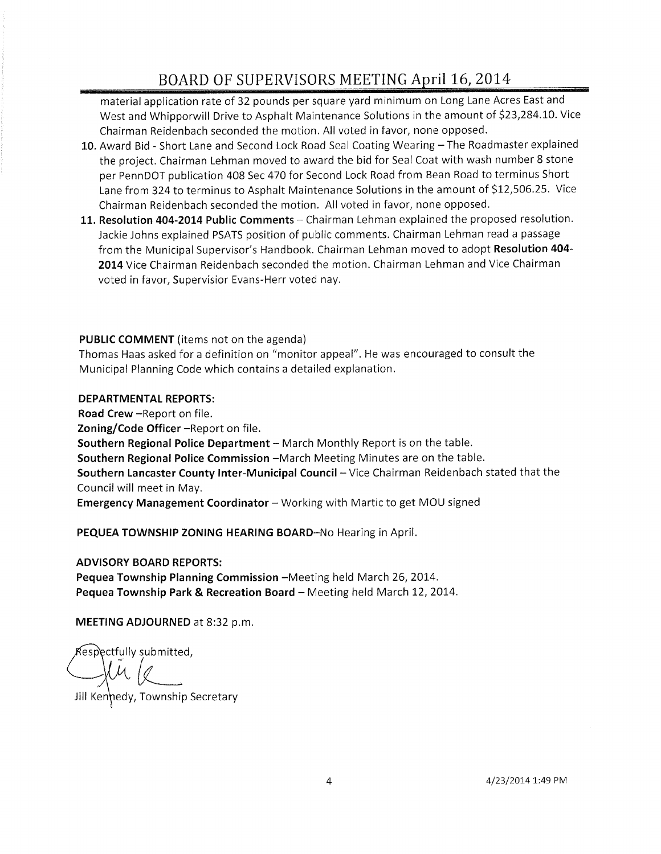## BOARD OF SUPERVISORS MEETING April 16, 2014

material application rate of 32 pounds per square yard minimum on Long Lane Acres East and West and Whipporwill Drive to Asphalt Maintenance Solutions in the amount of \$23,284.10. Vice Chairman Reidenbach seconded the motion. All voted in favor, none opposed.

- 10. Award Bid Short Lane and Second Lock Road Seal Coating Wearing The Roadmaster explained the project. Chairman Lehman moved to award the bid for Seal Coat with wash number 8 stone per PennDOT publication 408 Sec 470 for Second Lock Road from Bean Road to terminus Short Lane from 324 to terminus to Asphalt Maintenance Solutions in the amount of \$12,506.25. Vice Chairman Reidenbach seconded the motion. All voted in favor, none opposed.
- 11. Resolution 404-2014 Public Comments Chairman Lehman explained the proposed resolution. Jackie Johns explained PSATS position of public comments. Chairman Lehman read a passage from the Municipal Supervisor's Handbook. Chairman Lehman moved to adopt Resolution 404-2014 Vice Chairman Reidenbach seconded the motion. Chairman Lehman and Vice Chairman voted in favor, Supervisior Evans-Herr voted nay.

#### PUBLIC COMMENT (items not on the agenda)

Thomas Haas asked for a definition on "monitor appeal". He was encouraged to consult the Municipal Planning Code which contains a detailed explanation.

#### **DEPARTMENTAL REPORTS:**

Road Crew -Report on file.

Zoning/Code Officer -Report on file.

Southern Regional Police Department - March Monthly Report is on the table.

Southern Regional Police Commission -March Meeting Minutes are on the table.

Southern Lancaster County Inter-Municipal Council - Vice Chairman Reidenbach stated that the Council will meet in May.

Emergency Management Coordinator - Working with Martic to get MOU signed

PEQUEA TOWNSHIP ZONING HEARING BOARD-No Hearing in April.

#### **ADVISORY BOARD REPORTS:**

Pequea Township Planning Commission - Meeting held March 26, 2014. Pequea Township Park & Recreation Board - Meeting held March 12, 2014.

MEETING ADJOURNED at 8:32 p.m.

Respectfully submitted,

Jill Kennedy, Township Secretary